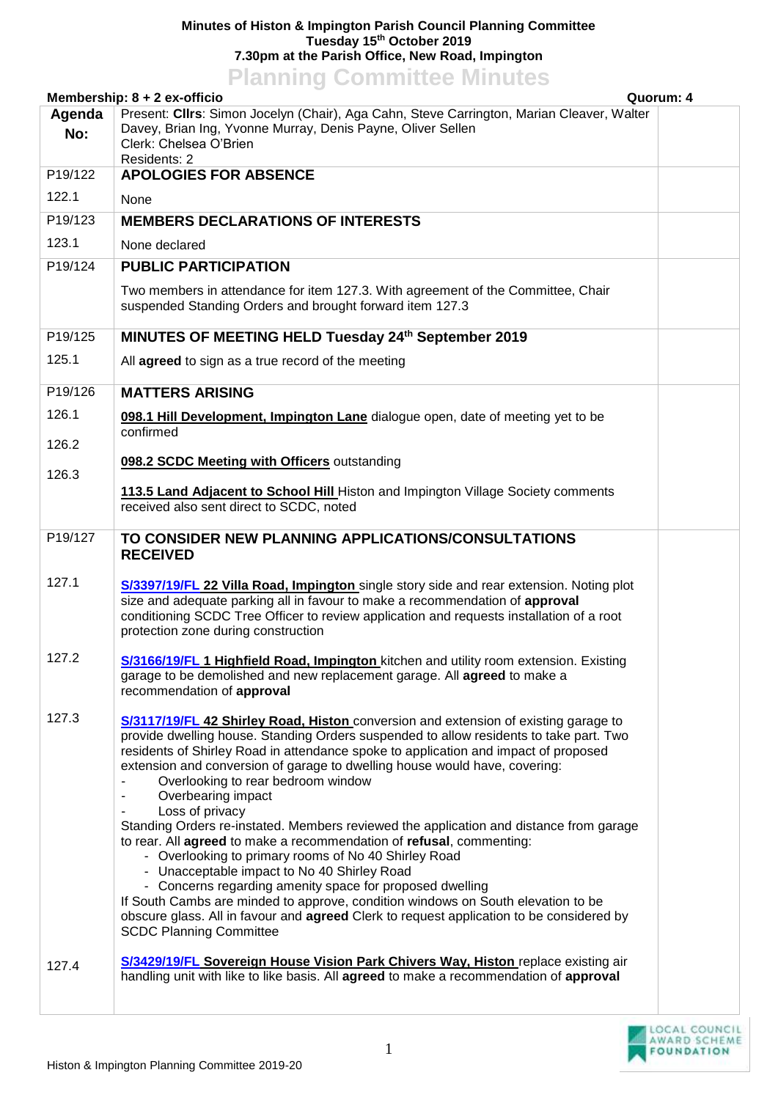## **Minutes of Histon & Impington Parish Council Planning Committee Tuesday 15th October 2019 7.30pm at the Parish Office, New Road, Impington**

|                                           | <b>Planning Committee Minutes</b>                                                                                                                                                                                                                                                                                                                                                                                                                                                                                                                                                                                                                                                                                                                                                                                                                                                                                                                                                               |  |
|-------------------------------------------|-------------------------------------------------------------------------------------------------------------------------------------------------------------------------------------------------------------------------------------------------------------------------------------------------------------------------------------------------------------------------------------------------------------------------------------------------------------------------------------------------------------------------------------------------------------------------------------------------------------------------------------------------------------------------------------------------------------------------------------------------------------------------------------------------------------------------------------------------------------------------------------------------------------------------------------------------------------------------------------------------|--|
| Quorum: 4<br>Membership: 8 + 2 ex-officio |                                                                                                                                                                                                                                                                                                                                                                                                                                                                                                                                                                                                                                                                                                                                                                                                                                                                                                                                                                                                 |  |
| Agenda                                    | Present: Cllrs: Simon Jocelyn (Chair), Aga Cahn, Steve Carrington, Marian Cleaver, Walter<br>Davey, Brian Ing, Yvonne Murray, Denis Payne, Oliver Sellen                                                                                                                                                                                                                                                                                                                                                                                                                                                                                                                                                                                                                                                                                                                                                                                                                                        |  |
| No:                                       | Clerk: Chelsea O'Brien                                                                                                                                                                                                                                                                                                                                                                                                                                                                                                                                                                                                                                                                                                                                                                                                                                                                                                                                                                          |  |
|                                           | Residents: 2                                                                                                                                                                                                                                                                                                                                                                                                                                                                                                                                                                                                                                                                                                                                                                                                                                                                                                                                                                                    |  |
| P19/122                                   | <b>APOLOGIES FOR ABSENCE</b>                                                                                                                                                                                                                                                                                                                                                                                                                                                                                                                                                                                                                                                                                                                                                                                                                                                                                                                                                                    |  |
| 122.1                                     | None                                                                                                                                                                                                                                                                                                                                                                                                                                                                                                                                                                                                                                                                                                                                                                                                                                                                                                                                                                                            |  |
| P19/123                                   | <b>MEMBERS DECLARATIONS OF INTERESTS</b>                                                                                                                                                                                                                                                                                                                                                                                                                                                                                                                                                                                                                                                                                                                                                                                                                                                                                                                                                        |  |
| 123.1                                     | None declared                                                                                                                                                                                                                                                                                                                                                                                                                                                                                                                                                                                                                                                                                                                                                                                                                                                                                                                                                                                   |  |
| P19/124                                   | <b>PUBLIC PARTICIPATION</b>                                                                                                                                                                                                                                                                                                                                                                                                                                                                                                                                                                                                                                                                                                                                                                                                                                                                                                                                                                     |  |
|                                           | Two members in attendance for item 127.3. With agreement of the Committee, Chair<br>suspended Standing Orders and brought forward item 127.3                                                                                                                                                                                                                                                                                                                                                                                                                                                                                                                                                                                                                                                                                                                                                                                                                                                    |  |
| P19/125                                   | MINUTES OF MEETING HELD Tuesday 24th September 2019                                                                                                                                                                                                                                                                                                                                                                                                                                                                                                                                                                                                                                                                                                                                                                                                                                                                                                                                             |  |
| 125.1                                     | All agreed to sign as a true record of the meeting                                                                                                                                                                                                                                                                                                                                                                                                                                                                                                                                                                                                                                                                                                                                                                                                                                                                                                                                              |  |
| P19/126                                   | <b>MATTERS ARISING</b>                                                                                                                                                                                                                                                                                                                                                                                                                                                                                                                                                                                                                                                                                                                                                                                                                                                                                                                                                                          |  |
| 126.1                                     | 098.1 Hill Development, Impington Lane dialogue open, date of meeting yet to be<br>confirmed                                                                                                                                                                                                                                                                                                                                                                                                                                                                                                                                                                                                                                                                                                                                                                                                                                                                                                    |  |
| 126.2                                     |                                                                                                                                                                                                                                                                                                                                                                                                                                                                                                                                                                                                                                                                                                                                                                                                                                                                                                                                                                                                 |  |
| 126.3                                     | 098.2 SCDC Meeting with Officers outstanding                                                                                                                                                                                                                                                                                                                                                                                                                                                                                                                                                                                                                                                                                                                                                                                                                                                                                                                                                    |  |
|                                           | 113.5 Land Adjacent to School Hill Histon and Impington Village Society comments<br>received also sent direct to SCDC, noted                                                                                                                                                                                                                                                                                                                                                                                                                                                                                                                                                                                                                                                                                                                                                                                                                                                                    |  |
| P19/127                                   | TO CONSIDER NEW PLANNING APPLICATIONS/CONSULTATIONS<br><b>RECEIVED</b>                                                                                                                                                                                                                                                                                                                                                                                                                                                                                                                                                                                                                                                                                                                                                                                                                                                                                                                          |  |
| 127.1                                     | S/3397/19/FL 22 Villa Road, Impington single story side and rear extension. Noting plot<br>size and adequate parking all in favour to make a recommendation of approval<br>conditioning SCDC Tree Officer to review application and requests installation of a root<br>protection zone during construction                                                                                                                                                                                                                                                                                                                                                                                                                                                                                                                                                                                                                                                                                      |  |
| 127.2                                     | S/3166/19/FL 1 Highfield Road, Impington kitchen and utility room extension. Existing<br>garage to be demolished and new replacement garage. All agreed to make a<br>recommendation of approval                                                                                                                                                                                                                                                                                                                                                                                                                                                                                                                                                                                                                                                                                                                                                                                                 |  |
| 127.3                                     | S/3117/19/FL 42 Shirley Road, Histon conversion and extension of existing garage to<br>provide dwelling house. Standing Orders suspended to allow residents to take part. Two<br>residents of Shirley Road in attendance spoke to application and impact of proposed<br>extension and conversion of garage to dwelling house would have, covering:<br>Overlooking to rear bedroom window<br>Overbearing impact<br>Loss of privacy<br>Standing Orders re-instated. Members reviewed the application and distance from garage<br>to rear. All agreed to make a recommendation of refusal, commenting:<br>- Overlooking to primary rooms of No 40 Shirley Road<br>- Unacceptable impact to No 40 Shirley Road<br>- Concerns regarding amenity space for proposed dwelling<br>If South Cambs are minded to approve, condition windows on South elevation to be<br>obscure glass. All in favour and <b>agreed</b> Clerk to request application to be considered by<br><b>SCDC Planning Committee</b> |  |
| 127.4                                     | S/3429/19/FL Sovereign House Vision Park Chivers Way, Histon replace existing air<br>handling unit with like to like basis. All agreed to make a recommendation of approval                                                                                                                                                                                                                                                                                                                                                                                                                                                                                                                                                                                                                                                                                                                                                                                                                     |  |

LOCAL COUNCIL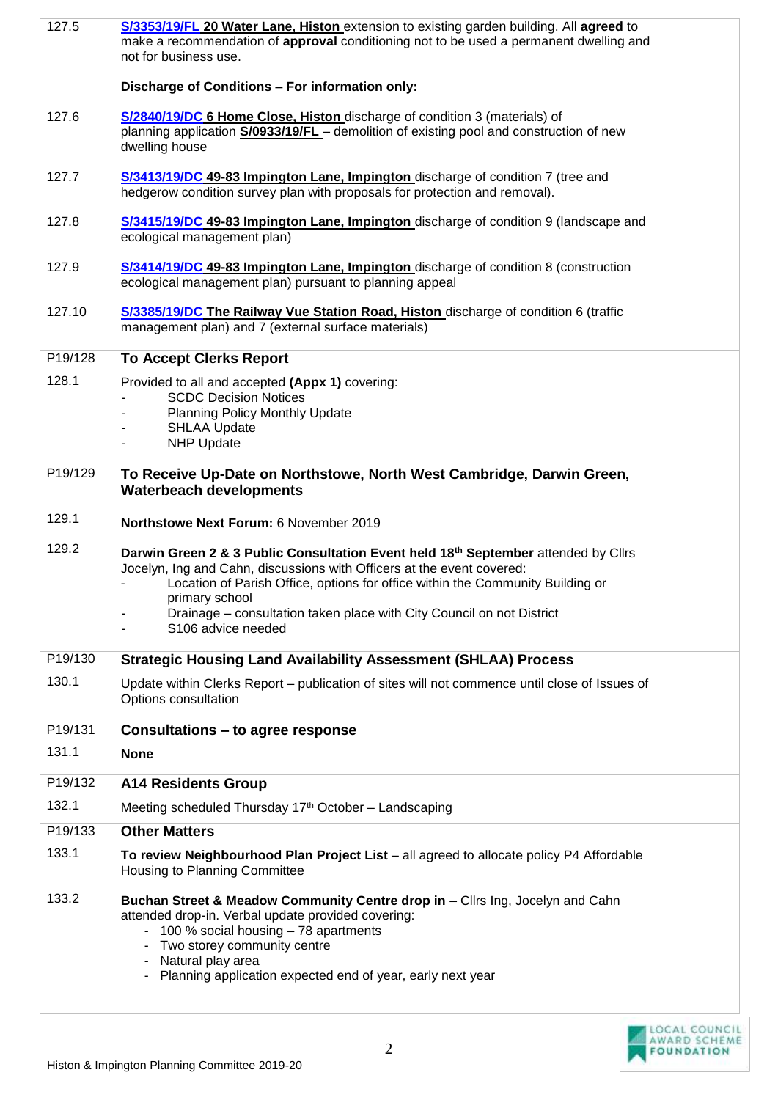| 127.5   | S/3353/19/FL 20 Water Lane, Histon extension to existing garden building. All agreed to                                                                              |  |
|---------|----------------------------------------------------------------------------------------------------------------------------------------------------------------------|--|
|         | make a recommendation of approval conditioning not to be used a permanent dwelling and                                                                               |  |
|         | not for business use.                                                                                                                                                |  |
|         | Discharge of Conditions - For information only:                                                                                                                      |  |
|         |                                                                                                                                                                      |  |
| 127.6   | S/2840/19/DC 6 Home Close, Histon discharge of condition 3 (materials) of<br>planning application S/0933/19/FL - demolition of existing pool and construction of new |  |
|         | dwelling house                                                                                                                                                       |  |
| 127.7   | S/3413/19/DC 49-83 Impington Lane, Impington discharge of condition 7 (tree and                                                                                      |  |
|         | hedgerow condition survey plan with proposals for protection and removal).                                                                                           |  |
|         |                                                                                                                                                                      |  |
| 127.8   | S/3415/19/DC 49-83 Impington Lane, Impington discharge of condition 9 (landscape and<br>ecological management plan)                                                  |  |
|         |                                                                                                                                                                      |  |
| 127.9   | S/3414/19/DC 49-83 Impington Lane, Impington discharge of condition 8 (construction                                                                                  |  |
|         | ecological management plan) pursuant to planning appeal                                                                                                              |  |
| 127.10  | S/3385/19/DC The Railway Vue Station Road, Histon discharge of condition 6 (traffic                                                                                  |  |
|         | management plan) and 7 (external surface materials)                                                                                                                  |  |
| P19/128 | <b>To Accept Clerks Report</b>                                                                                                                                       |  |
| 128.1   | Provided to all and accepted (Appx 1) covering:                                                                                                                      |  |
|         | <b>SCDC Decision Notices</b>                                                                                                                                         |  |
|         | <b>Planning Policy Monthly Update</b>                                                                                                                                |  |
|         | <b>SHLAA Update</b><br><b>NHP Update</b><br>$\overline{\phantom{a}}$                                                                                                 |  |
|         |                                                                                                                                                                      |  |
| P19/129 | To Receive Up-Date on Northstowe, North West Cambridge, Darwin Green,                                                                                                |  |
|         | <b>Waterbeach developments</b>                                                                                                                                       |  |
| 129.1   | Northstowe Next Forum: 6 November 2019                                                                                                                               |  |
| 129.2   | Darwin Green 2 & 3 Public Consultation Event held 18 <sup>th</sup> September attended by Clirs                                                                       |  |
|         | Jocelyn, Ing and Cahn, discussions with Officers at the event covered:                                                                                               |  |
|         | Location of Parish Office, options for office within the Community Building or<br>primary school                                                                     |  |
|         | Drainage - consultation taken place with City Council on not District                                                                                                |  |
|         | S106 advice needed                                                                                                                                                   |  |
| P19/130 | <b>Strategic Housing Land Availability Assessment (SHLAA) Process</b>                                                                                                |  |
| 130.1   | Update within Clerks Report - publication of sites will not commence until close of Issues of                                                                        |  |
|         | Options consultation                                                                                                                                                 |  |
| P19/131 | Consultations - to agree response                                                                                                                                    |  |
| 131.1   | <b>None</b>                                                                                                                                                          |  |
| P19/132 | <b>A14 Residents Group</b>                                                                                                                                           |  |
| 132.1   |                                                                                                                                                                      |  |
|         | Meeting scheduled Thursday 17th October - Landscaping                                                                                                                |  |
| P19/133 | <b>Other Matters</b>                                                                                                                                                 |  |
| 133.1   | To review Neighbourhood Plan Project List - all agreed to allocate policy P4 Affordable<br>Housing to Planning Committee                                             |  |
| 133.2   | Buchan Street & Meadow Community Centre drop in - Cllrs Ing, Jocelyn and Cahn                                                                                        |  |
|         | attended drop-in. Verbal update provided covering:                                                                                                                   |  |
|         | - 100 % social housing - 78 apartments                                                                                                                               |  |
|         | - Two storey community centre<br>- Natural play area                                                                                                                 |  |
|         | - Planning application expected end of year, early next year                                                                                                         |  |
|         |                                                                                                                                                                      |  |
|         |                                                                                                                                                                      |  |